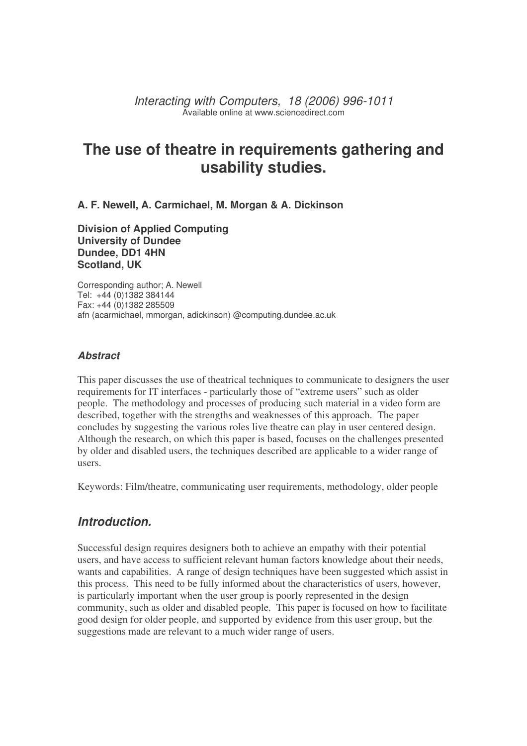*Interacting with Computers, 18 (2006) 996-1011* Available online at www.sciencedirect.com

# **The use of theatre in requirements gathering and usability studies.**

**A. F. Newell, A. Carmichael, M. Morgan & A. Dickinson**

**Division of Applied Computing University of Dundee Dundee, DD1 4HN Scotland, UK**

Corresponding author; A. Newell Tel: +44 (0)1382 384144 Fax: +44 (0)1382 285509 afn (acarmichael, mmorgan, adickinson) @computing.dundee.ac.uk

#### *Abstract*

This paper discusses the use of theatrical techniques to communicate to designers the user requirements for IT interfaces - particularly those of "extreme users" such as older people. The methodology and processes of producing such material in a video form are described, together with the strengths and weaknesses of this approach. The paper concludes by suggesting the various roles live theatre can play in user centered design. Although the research, on which this paper is based, focuses on the challenges presented by older and disabled users, the techniques described are applicable to a wider range of users.

Keywords: Film/theatre, communicating user requirements, methodology, older people

### *Introduction.*

Successful design requires designers both to achieve an empathy with their potential users, and have access to sufficient relevant human factors knowledge about their needs, wants and capabilities. A range of design techniques have been suggested which assist in this process. This need to be fully informed about the characteristics of users, however, is particularly important when the user group is poorly represented in the design community, such as older and disabled people. This paper is focused on how to facilitate good design for older people, and supported by evidence from this user group, but the suggestions made are relevant to a much wider range of users.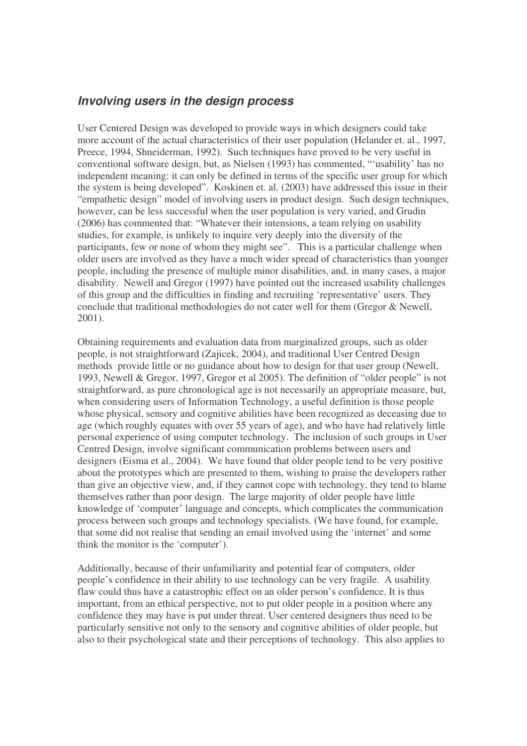#### *Involving users in the design process*

User Centered Design was developed to provide ways in which designers could take more account of the actual characteristics of their user population (Helander et. al., 1997, Preece, 1994, Shneiderman, 1992). Such techniques have proved to be very useful in conventional software design, but, as Nielsen (1993) has commented, "'usability' has no independent meaning: it can only be defined in terms of the specific user group for which the system is being developed". Koskinen et. al. (2003) have addressed this issue in their "empathetic design" model of involving users in product design. Such design techniques, however, can be less successful when the user population is very varied, and Grudin (2006) has commented that: "Whatever their intensions, a team relying on usability studies, for example, is unlikely to inquire very deeply into the diversity of the participants, few or none of whom they might see". This is a particular challenge when older users are involved as they have a much wider spread of characteristics than younger people, including the presence of multiple minor disabilities, and, in many cases, a major disability. Newell and Gregor (1997) have pointed out the increased usability challenges of this group and the difficulties in finding and recruiting 'representative' users. They conclude that traditional methodologies do not cater well for them (Gregor & Newell, 2001).

Obtaining requirements and evaluation data from marginalized groups, such as older people, is not straightforward (Zajicek, 2004), and traditional User Centred Design methods provide little or no guidance about how to design for that user group (Newell, 1993, Newell & Gregor, 1997, Gregor et al 2005). The definition of "older people" is not straightforward, as pure chronological age is not necessarily an appropriate measure, but, when considering users of Information Technology, a useful definition is those people whose physical, sensory and cognitive abilities have been recognized as deceasing due to age (which roughly equates with over 55 years of age), and who have had relatively little personal experience of using computer technology. The inclusion of such groups in User Centred Design, involve significant communication problems between users and designers (Eisma et al., 2004). We have found that older people tend to be very positive about the prototypes which are presented to them, wishing to praise the developers rather than give an objective view, and, if they cannot cope with technology, they tend to blame themselves rather than poor design. The large majority of older people have little knowledge of 'computer' language and concepts, which complicates the communication process between such groups and technology specialists. (We have found, for example, that some did not realise that sending an email involved using the 'internet' and some think the monitor is the 'computer').

Additionally, because of their unfamiliarity and potential fear of computers, older people's confidence in their ability to use technology can be very fragile. A usability flaw could thus have a catastrophic effect on an older person's confidence. It is thus important, from an ethical perspective, not to put older people in a position where any confidence they may have is put under threat. User centered designers thus need to be particularly sensitive not only to the sensory and cognitive abilities of older people, but also to their psychological state and their perceptions of technology. This also applies to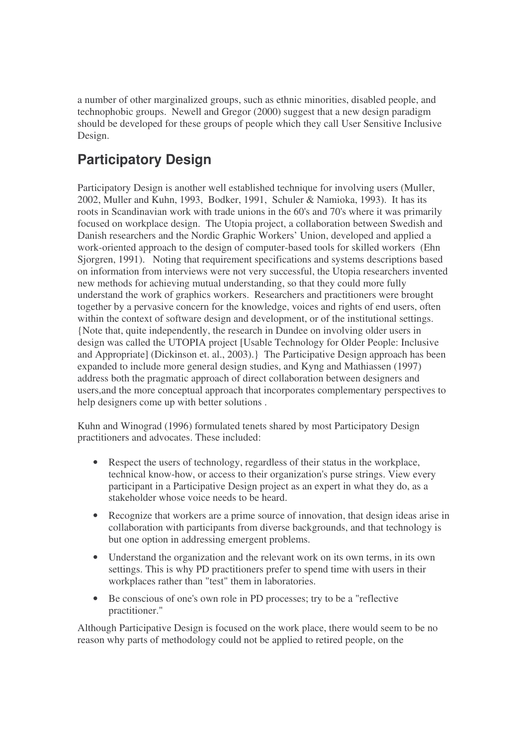a number of other marginalized groups, such as ethnic minorities, disabled people, and technophobic groups. Newell and Gregor (2000) suggest that a new design paradigm should be developed for these groups of people which they call User Sensitive Inclusive Design.

# **Participatory Design**

Participatory Design is another well established technique for involving users (Muller, 2002, Muller and Kuhn, 1993, Bodker, 1991, Schuler & Namioka, 1993). It has its roots in Scandinavian work with trade unions in the 60's and 70's where it was primarily focused on workplace design. The Utopia project, a collaboration between Swedish and Danish researchers and the Nordic Graphic Workers' Union, developed and applied a work-oriented approach to the design of computer-based tools for skilled workers (Ehn Sjorgren, 1991). Noting that requirement specifications and systems descriptions based on information from interviews were not very successful, the Utopia researchers invented new methods for achieving mutual understanding, so that they could more fully understand the work of graphics workers. Researchers and practitioners were brought together by a pervasive concern for the knowledge, voices and rights of end users, often within the context of software design and development, or of the institutional settings. {Note that, quite independently, the research in Dundee on involving older users in design was called the UTOPIA project [Usable Technology for Older People: Inclusive and Appropriate] (Dickinson et. al., 2003).} The Participative Design approach has been expanded to include more general design studies, and Kyng and Mathiassen (1997) address both the pragmatic approach of direct collaboration between designers and users,and the more conceptual approach that incorporates complementary perspectives to help designers come up with better solutions .

Kuhn and Winograd (1996) formulated tenets shared by most Participatory Design practitioners and advocates. These included:

- Respect the users of technology, regardless of their status in the workplace, technical know-how, or access to their organization's purse strings. View every participant in a Participative Design project as an expert in what they do, as a stakeholder whose voice needs to be heard.
- Recognize that workers are a prime source of innovation, that design ideas arise in collaboration with participants from diverse backgrounds, and that technology is but one option in addressing emergent problems.
- Understand the organization and the relevant work on its own terms, in its own settings. This is why PD practitioners prefer to spend time with users in their workplaces rather than "test" them in laboratories.
- Be conscious of one's own role in PD processes; try to be a "reflective practitioner."

Although Participative Design is focused on the work place, there would seem to be no reason why parts of methodology could not be applied to retired people, on the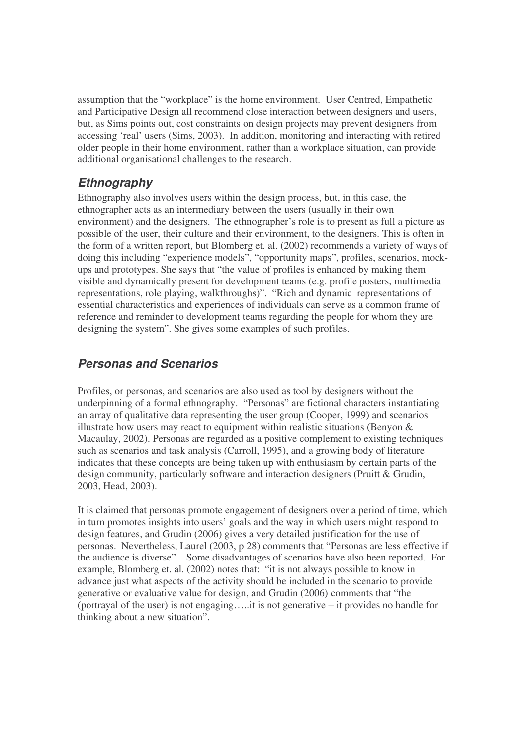assumption that the "workplace" is the home environment. User Centred, Empathetic and Participative Design all recommend close interaction between designers and users, but, as Sims points out, cost constraints on design projects may prevent designers from accessing 'real' users (Sims, 2003). In addition, monitoring and interacting with retired older people in their home environment, rather than a workplace situation, can provide additional organisational challenges to the research.

### *Ethnography*

Ethnography also involves users within the design process, but, in this case, the ethnographer acts as an intermediary between the users (usually in their own environment) and the designers. The ethnographer's role is to present as full a picture as possible of the user, their culture and their environment, to the designers. This is often in the form of a written report, but Blomberg et. al. (2002) recommends a variety of ways of doing this including "experience models", "opportunity maps", profiles, scenarios, mockups and prototypes. She says that "the value of profiles is enhanced by making them visible and dynamically present for development teams (e.g. profile posters, multimedia representations, role playing, walkthroughs)". "Rich and dynamic representations of essential characteristics and experiences of individuals can serve as a common frame of reference and reminder to development teams regarding the people for whom they are designing the system". She gives some examples of such profiles.

### *Personas and Scenarios*

Profiles, or personas, and scenarios are also used as tool by designers without the underpinning of a formal ethnography. "Personas" are fictional characters instantiating an array of qualitative data representing the user group (Cooper, 1999) and scenarios illustrate how users may react to equipment within realistic situations (Benyon & Macaulay, 2002). Personas are regarded as a positive complement to existing techniques such as scenarios and task analysis (Carroll, 1995), and a growing body of literature indicates that these concepts are being taken up with enthusiasm by certain parts of the design community, particularly software and interaction designers (Pruitt & Grudin, 2003, Head, 2003).

It is claimed that personas promote engagement of designers over a period of time, which in turn promotes insights into users' goals and the way in which users might respond to design features, and Grudin (2006) gives a very detailed justification for the use of personas. Nevertheless, Laurel (2003, p 28) comments that "Personas are less effective if the audience is diverse". Some disadvantages of scenarios have also been reported. For example, Blomberg et. al. (2002) notes that: "it is not always possible to know in advance just what aspects of the activity should be included in the scenario to provide generative or evaluative value for design, and Grudin (2006) comments that "the (portrayal of the user) is not engaging…..it is not generative – it provides no handle for thinking about a new situation".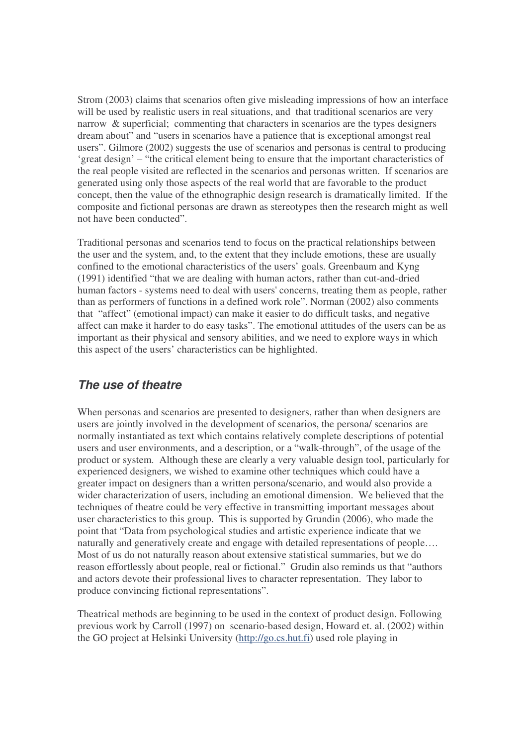Strom (2003) claims that scenarios often give misleading impressions of how an interface will be used by realistic users in real situations, and that traditional scenarios are very narrow & superficial; commenting that characters in scenarios are the types designers dream about" and "users in scenarios have a patience that is exceptional amongst real users". Gilmore (2002) suggests the use of scenarios and personas is central to producing 'great design' – "the critical element being to ensure that the important characteristics of the real people visited are reflected in the scenarios and personas written. If scenarios are generated using only those aspects of the real world that are favorable to the product concept, then the value of the ethnographic design research is dramatically limited. If the composite and fictional personas are drawn as stereotypes then the research might as well not have been conducted".

Traditional personas and scenarios tend to focus on the practical relationships between the user and the system, and, to the extent that they include emotions, these are usually confined to the emotional characteristics of the users' goals. Greenbaum and Kyng (1991) identified "that we are dealing with human actors, rather than cut-and-dried human factors - systems need to deal with users'concerns, treating them as people, rather than as performers of functions in a defined work role". Norman (2002) also comments that "affect" (emotional impact) can make it easier to do difficult tasks, and negative affect can make it harder to do easy tasks". The emotional attitudes of the users can be as important as their physical and sensory abilities, and we need to explore ways in which this aspect of the users' characteristics can be highlighted.

### *The use of theatre*

When personas and scenarios are presented to designers, rather than when designers are users are jointly involved in the development of scenarios, the persona/ scenarios are normally instantiated as text which contains relatively complete descriptions of potential users and user environments, and a description, or a "walk-through", of the usage of the product or system. Although these are clearly a very valuable design tool, particularly for experienced designers, we wished to examine other techniques which could have a greater impact on designers than a written persona/scenario, and would also provide a wider characterization of users, including an emotional dimension. We believed that the techniques of theatre could be very effective in transmitting important messages about user characteristics to this group. This is supported by Grundin (2006), who made the point that "Data from psychological studies and artistic experience indicate that we naturally and generatively create and engage with detailed representations of people…. Most of us do not naturally reason about extensive statistical summaries, but we do reason effortlessly about people, real or fictional." Grudin also reminds us that "authors and actors devote their professional lives to character representation. They labor to produce convincing fictional representations".

Theatrical methods are beginning to be used in the context of product design. Following previous work by Carroll (1997) on scenario-based design, Howard et. al. (2002) within the GO project at Helsinki University (http://go.cs.hut.fi) used role playing in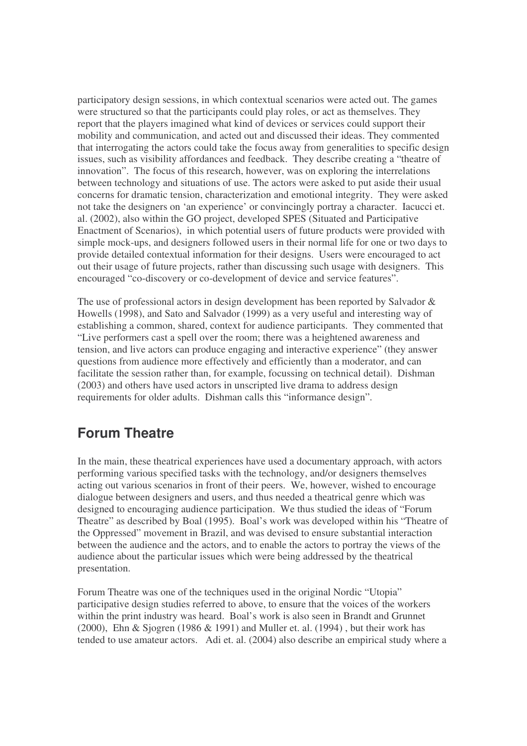participatory design sessions, in which contextual scenarios were acted out. The games were structured so that the participants could play roles, or act as themselves. They report that the players imagined what kind of devices or services could support their mobility and communication, and acted out and discussed their ideas. They commented that interrogating the actors could take the focus away from generalities to specific design issues, such as visibility affordances and feedback. They describe creating a "theatre of innovation". The focus of this research, however, was on exploring the interrelations between technology and situations of use. The actors were asked to put aside their usual concerns for dramatic tension, characterization and emotional integrity. They were asked not take the designers on 'an experience' or convincingly portray a character. Iacucci et. al. (2002), also within the GO project, developed SPES (Situated and Participative Enactment of Scenarios), in which potential users of future products were provided with simple mock-ups, and designers followed users in their normal life for one or two days to provide detailed contextual information for their designs. Users were encouraged to act out their usage of future projects, rather than discussing such usage with designers. This encouraged "co-discovery or co-development of device and service features".

The use of professional actors in design development has been reported by Salvador & Howells (1998), and Sato and Salvador (1999) as a very useful and interesting way of establishing a common, shared, context for audience participants. They commented that "Live performers cast a spell over the room; there was a heightened awareness and tension, and live actors can produce engaging and interactive experience" (they answer questions from audience more effectively and efficiently than a moderator, and can facilitate the session rather than, for example, focussing on technical detail). Dishman (2003) and others have used actors in unscripted live drama to address design requirements for older adults. Dishman calls this "informance design".

### **Forum Theatre**

In the main, these theatrical experiences have used a documentary approach, with actors performing various specified tasks with the technology, and/or designers themselves acting out various scenarios in front of their peers. We, however, wished to encourage dialogue between designers and users, and thus needed a theatrical genre which was designed to encouraging audience participation. We thus studied the ideas of "Forum Theatre" as described by Boal (1995). Boal's work was developed within his "Theatre of the Oppressed" movement in Brazil, and was devised to ensure substantial interaction between the audience and the actors, and to enable the actors to portray the views of the audience about the particular issues which were being addressed by the theatrical presentation.

Forum Theatre was one of the techniques used in the original Nordic "Utopia" participative design studies referred to above, to ensure that the voices of the workers within the print industry was heard. Boal's work is also seen in Brandt and Grunnet (2000), Ehn & Sjogren (1986 & 1991) and Muller et. al. (1994) , but their work has tended to use amateur actors. Adi et. al. (2004) also describe an empirical study where a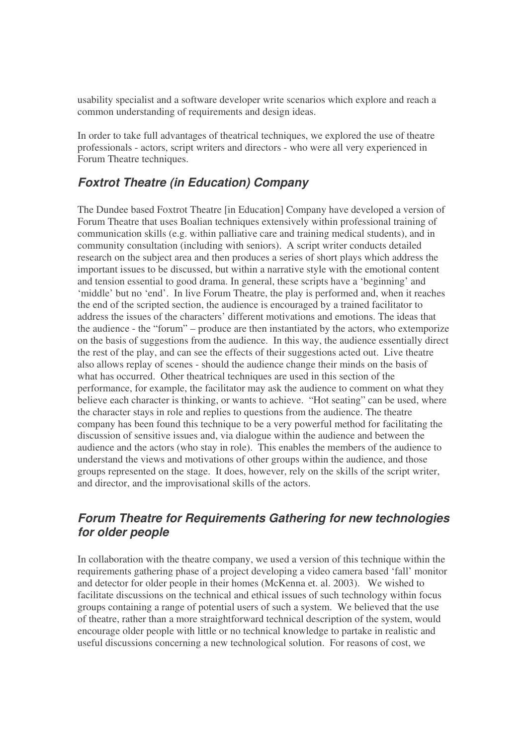usability specialist and a software developer write scenarios which explore and reach a common understanding of requirements and design ideas.

In order to take full advantages of theatrical techniques, we explored the use of theatre professionals - actors, script writers and directors - who were all very experienced in Forum Theatre techniques.

### *Foxtrot Theatre (in Education) Company*

The Dundee based Foxtrot Theatre [in Education] Company have developed a version of Forum Theatre that uses Boalian techniques extensively within professional training of communication skills (e.g. within palliative care and training medical students), and in community consultation (including with seniors). A script writer conducts detailed research on the subject area and then produces a series of short plays which address the important issues to be discussed, but within a narrative style with the emotional content and tension essential to good drama. In general, these scripts have a 'beginning' and 'middle' but no 'end'. In live Forum Theatre, the play is performed and, when it reaches the end of the scripted section, the audience is encouraged by a trained facilitator to address the issues of the characters' different motivations and emotions. The ideas that the audience - the "forum" – produce are then instantiated by the actors, who extemporize on the basis of suggestions from the audience. In this way, the audience essentially direct the rest of the play, and can see the effects of their suggestions acted out. Live theatre also allows replay of scenes - should the audience change their minds on the basis of what has occurred. Other theatrical techniques are used in this section of the performance, for example, the facilitator may ask the audience to comment on what they believe each character is thinking, or wants to achieve. "Hot seating" can be used, where the character stays in role and replies to questions from the audience. The theatre company has been found this technique to be a very powerful method for facilitating the discussion of sensitive issues and, via dialogue within the audience and between the audience and the actors (who stay in role). This enables the members of the audience to understand the views and motivations of other groups within the audience, and those groups represented on the stage. It does, however, rely on the skills of the script writer, and director, and the improvisational skills of the actors.

### *Forum Theatre for Requirements Gathering for new technologies for older people*

In collaboration with the theatre company, we used a version of this technique within the requirements gathering phase of a project developing a video camera based 'fall' monitor and detector for older people in their homes (McKenna et. al. 2003). We wished to facilitate discussions on the technical and ethical issues of such technology within focus groups containing a range of potential users of such a system. We believed that the use of theatre, rather than a more straightforward technical description of the system, would encourage older people with little or no technical knowledge to partake in realistic and useful discussions concerning a new technological solution. For reasons of cost, we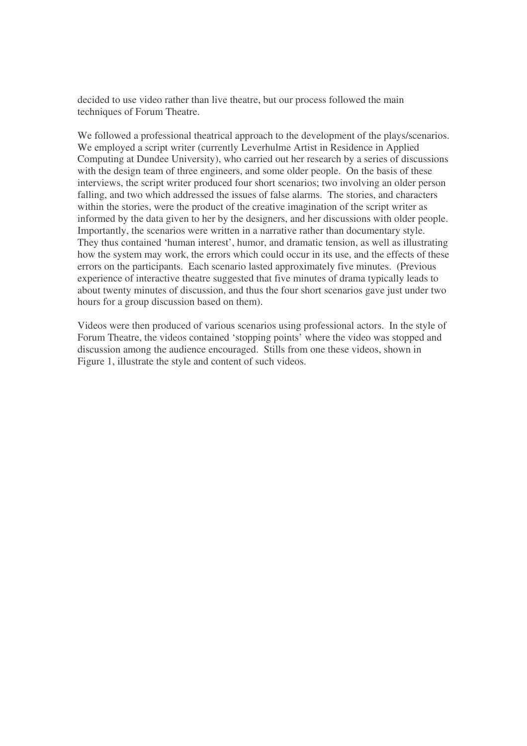decided to use video rather than live theatre, but our process followed the main techniques of Forum Theatre.

We followed a professional theatrical approach to the development of the plays/scenarios. We employed a script writer (currently Leverhulme Artist in Residence in Applied Computing at Dundee University), who carried out her research by a series of discussions with the design team of three engineers, and some older people. On the basis of these interviews, the script writer produced four short scenarios; two involving an older person falling, and two which addressed the issues of false alarms. The stories, and characters within the stories, were the product of the creative imagination of the script writer as informed by the data given to her by the designers, and her discussions with older people. Importantly, the scenarios were written in a narrative rather than documentary style. They thus contained 'human interest', humor, and dramatic tension, as well as illustrating how the system may work, the errors which could occur in its use, and the effects of these errors on the participants. Each scenario lasted approximately five minutes. (Previous experience of interactive theatre suggested that five minutes of drama typically leads to about twenty minutes of discussion, and thus the four short scenarios gave just under two hours for a group discussion based on them).

Videos were then produced of various scenarios using professional actors. In the style of Forum Theatre, the videos contained 'stopping points' where the video was stopped and discussion among the audience encouraged. Stills from one these videos, shown in Figure 1, illustrate the style and content of such videos.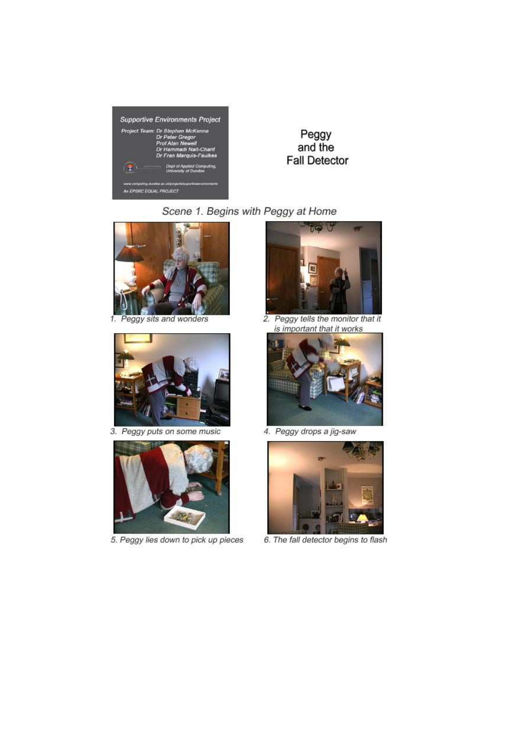

Peggy and the **Fall Detector** 

Scene 1. Begins with Peggy at Home



1. Peggy sits and wonders



3. Peggy puts on some music



5. Peggy lies down to pick up pieces



2. Peggy tells the monitor that it is important that it works



4. Peggy drops a jig-saw



6. The fall detector begins to flash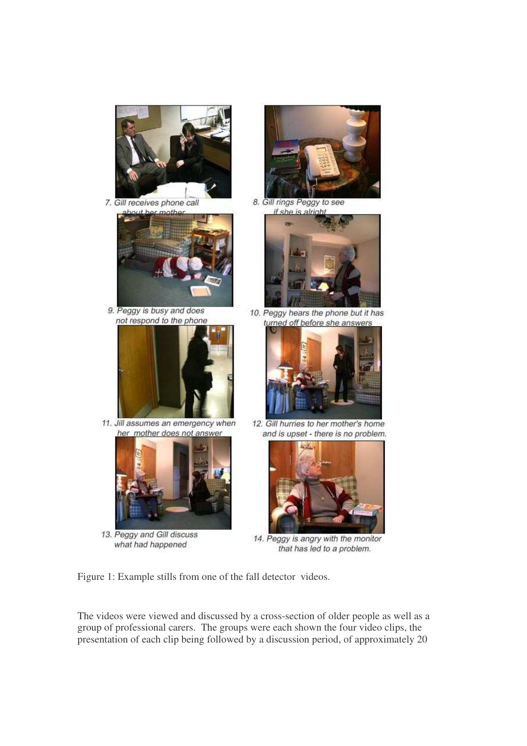

7. Gill receives phone call



9. Peggy is busy and does not respond to the phone



11. Jill assumes an emergency when her mother does not answer



13. Peggy and Gill discuss what had happened



8. Gill rings Peggy to see if she is alright



10. Peggy hears the phone but it has turned off before she answers



12. Gill hurries to her mother's home and is upset - there is no problem.



14. Peggy is angry with the monitor that has led to a problem.

Figure 1: Example stills from one of the fall detector videos.

The videos were viewed and discussed by a cross-section of older people as well as a group of professional carers. The groups were each shown the four video clips, the presentation of each clip being followed by a discussion period, of approximately 20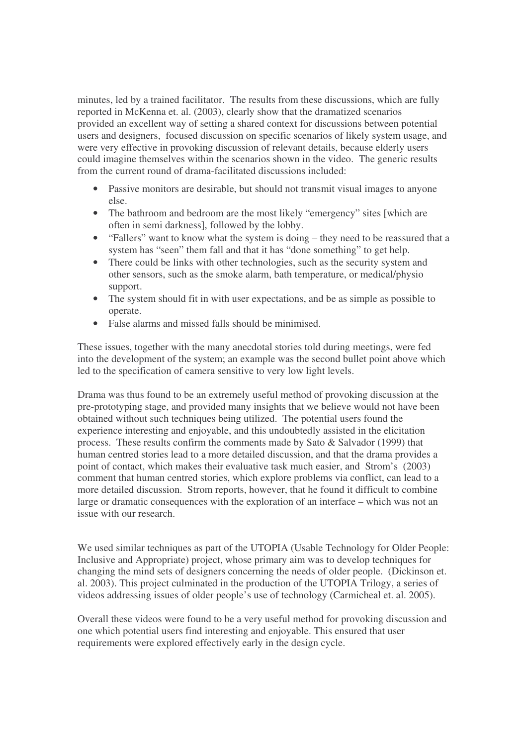minutes, led by a trained facilitator. The results from these discussions, which are fully reported in McKenna et. al. (2003), clearly show that the dramatized scenarios provided an excellent way of setting a shared context for discussions between potential users and designers, focused discussion on specific scenarios of likely system usage, and were very effective in provoking discussion of relevant details, because elderly users could imagine themselves within the scenarios shown in the video. The generic results from the current round of drama-facilitated discussions included:

- Passive monitors are desirable, but should not transmit visual images to anyone else.
- The bathroom and bedroom are the most likely "emergency" sites [which are often in semi darkness], followed by the lobby.
- "Fallers" want to know what the system is doing they need to be reassured that a system has "seen" them fall and that it has "done something" to get help.
- There could be links with other technologies, such as the security system and other sensors, such as the smoke alarm, bath temperature, or medical/physio support.
- The system should fit in with user expectations, and be as simple as possible to operate.
- False alarms and missed falls should be minimised.

These issues, together with the many anecdotal stories told during meetings, were fed into the development of the system; an example was the second bullet point above which led to the specification of camera sensitive to very low light levels.

Drama was thus found to be an extremely useful method of provoking discussion at the pre-prototyping stage, and provided many insights that we believe would not have been obtained without such techniques being utilized. The potential users found the experience interesting and enjoyable, and this undoubtedly assisted in the elicitation process. These results confirm the comments made by Sato & Salvador (1999) that human centred stories lead to a more detailed discussion, and that the drama provides a point of contact, which makes their evaluative task much easier, and Strom's (2003) comment that human centred stories, which explore problems via conflict, can lead to a more detailed discussion. Strom reports, however, that he found it difficult to combine large or dramatic consequences with the exploration of an interface – which was not an issue with our research.

We used similar techniques as part of the UTOPIA (Usable Technology for Older People: Inclusive and Appropriate) project, whose primary aim was to develop techniques for changing the mind sets of designers concerning the needs of older people. (Dickinson et. al. 2003). This project culminated in the production of the UTOPIA Trilogy, a series of videos addressing issues of older people's use of technology (Carmicheal et. al. 2005).

Overall these videos were found to be a very useful method for provoking discussion and one which potential users find interesting and enjoyable. This ensured that user requirements were explored effectively early in the design cycle.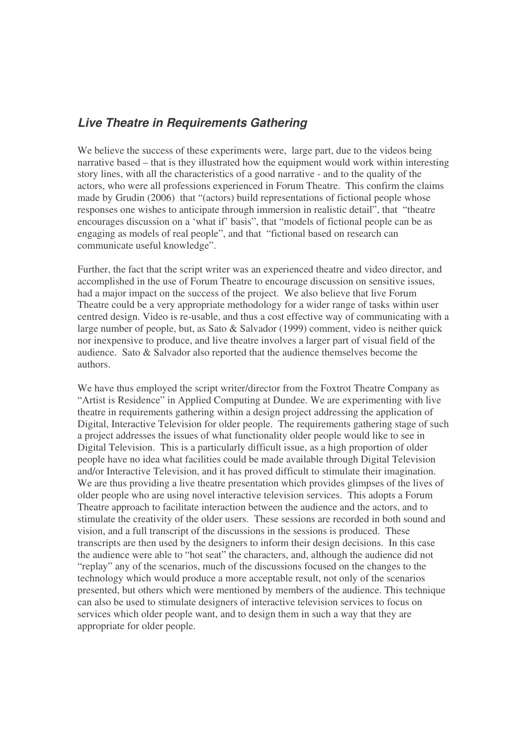### *Live Theatre in Requirements Gathering*

We believe the success of these experiments were, large part, due to the videos being narrative based – that is they illustrated how the equipment would work within interesting story lines, with all the characteristics of a good narrative - and to the quality of the actors, who were all professions experienced in Forum Theatre. This confirm the claims made by Grudin (2006) that "(actors) build representations of fictional people whose responses one wishes to anticipate through immersion in realistic detail", that "theatre encourages discussion on a 'what if' basis", that "models of fictional people can be as engaging as models of real people", and that "fictional based on research can communicate useful knowledge".

Further, the fact that the script writer was an experienced theatre and video director, and accomplished in the use of Forum Theatre to encourage discussion on sensitive issues, had a major impact on the success of the project. We also believe that live Forum Theatre could be a very appropriate methodology for a wider range of tasks within user centred design. Video is re-usable, and thus a cost effective way of communicating with a large number of people, but, as Sato & Salvador (1999) comment, video is neither quick nor inexpensive to produce, and live theatre involves a larger part of visual field of the audience. Sato & Salvador also reported that the audience themselves become the authors.

We have thus employed the script writer/director from the Foxtrot Theatre Company as "Artist is Residence" in Applied Computing at Dundee. We are experimenting with live theatre in requirements gathering within a design project addressing the application of Digital, Interactive Television for older people. The requirements gathering stage of such a project addresses the issues of what functionality older people would like to see in Digital Television. This is a particularly difficult issue, as a high proportion of older people have no idea what facilities could be made available through Digital Television and/or Interactive Television, and it has proved difficult to stimulate their imagination. We are thus providing a live theatre presentation which provides glimpses of the lives of older people who are using novel interactive television services. This adopts a Forum Theatre approach to facilitate interaction between the audience and the actors, and to stimulate the creativity of the older users. These sessions are recorded in both sound and vision, and a full transcript of the discussions in the sessions is produced. These transcripts are then used by the designers to inform their design decisions. In this case the audience were able to "hot seat" the characters, and, although the audience did not "replay" any of the scenarios, much of the discussions focused on the changes to the technology which would produce a more acceptable result, not only of the scenarios presented, but others which were mentioned by members of the audience. This technique can also be used to stimulate designers of interactive television services to focus on services which older people want, and to design them in such a way that they are appropriate for older people.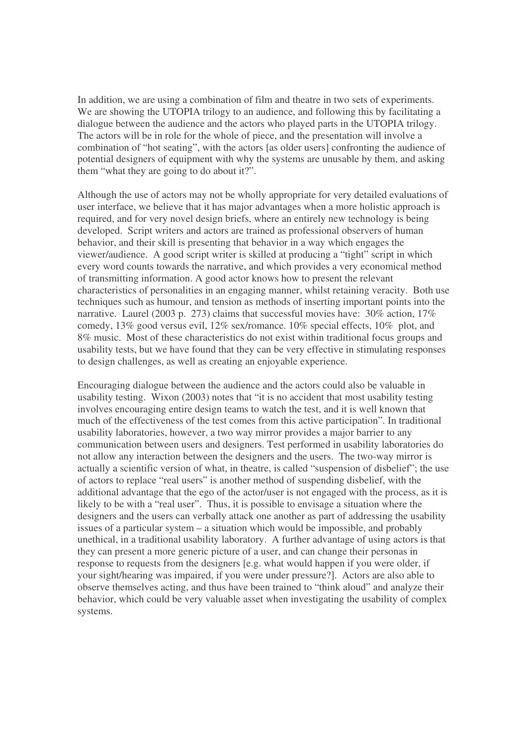In addition, we are using a combination of film and theatre in two sets of experiments. We are showing the UTOPIA trilogy to an audience, and following this by facilitating a dialogue between the audience and the actors who played parts in the UTOPIA trilogy. The actors will be in role for the whole of piece, and the presentation will involve a combination of "hot seating", with the actors [as older users] confronting the audience of potential designers of equipment with why the systems are unusable by them, and asking them "what they are going to do about it?".

Although the use of actors may not be wholly appropriate for very detailed evaluations of user interface, we believe that it has major advantages when a more holistic approach is required, and for very novel design briefs, where an entirely new technology is being developed. Script writers and actors are trained as professional observers of human behavior, and their skill is presenting that behavior in a way which engages the viewer/audience. A good script writer is skilled at producing a "tight" script in which every word counts towards the narrative, and which provides a very economical method of transmitting information. A good actor knows how to present the relevant characteristics of personalities in an engaging manner, whilst retaining veracity. Both use techniques such as humour, and tension as methods of inserting important points into the narrative. Laurel (2003 p. 273) claims that successful movies have: 30% action, 17% comedy, 13% good versus evil, 12% sex/romance. 10% special effects, 10% plot, and 8% music. Most of these characteristics do not exist within traditional focus groups and usability tests, but we have found that they can be very effective in stimulating responses to design challenges, as well as creating an enjoyable experience.

Encouraging dialogue between the audience and the actors could also be valuable in usability testing. Wixon (2003) notes that "it is no accident that most usability testing involves encouraging entire design teams to watch the test, and it is well known that much of the effectiveness of the test comes from this active participation". In traditional usability laboratories, however, a two way mirror provides a major barrier to any communication between users and designers. Test performed in usability laboratories do not allow any interaction between the designers and the users. The two-way mirror is actually a scientific version of what, in theatre, is called "suspension of disbelief"; the use of actors to replace "real users" is another method of suspending disbelief, with the additional advantage that the ego of the actor/user is not engaged with the process, as it is likely to be with a "real user". Thus, it is possible to envisage a situation where the designers and the users can verbally attack one another as part of addressing the usability issues of a particular system – a situation which would be impossible, and probably unethical, in a traditional usability laboratory. A further advantage of using actors is that they can present a more generic picture of a user, and can change their personas in response to requests from the designers [e.g. what would happen if you were older, if your sight/hearing was impaired, if you were under pressure?]. Actors are also able to observe themselves acting, and thus have been trained to "think aloud" and analyze their behavior, which could be very valuable asset when investigating the usability of complex systems.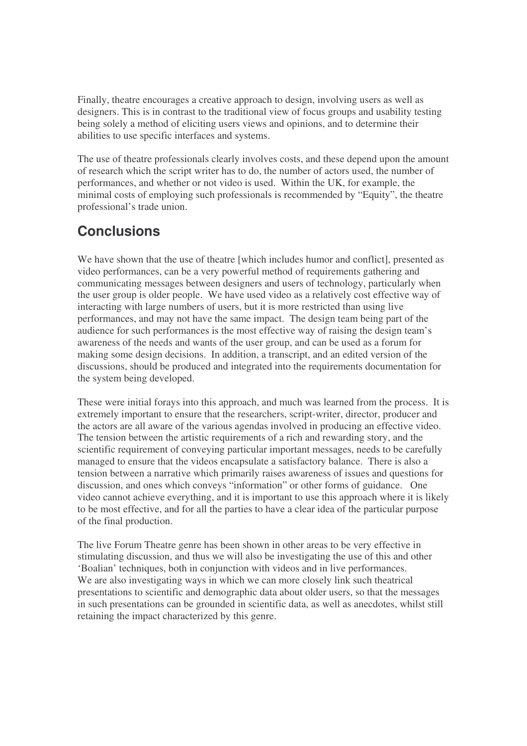Finally, theatre encourages a creative approach to design, involving users as well as designers. This is in contrast to the traditional view of focus groups and usability testing being solely a method of eliciting users views and opinions, and to determine their abilities to use specific interfaces and systems.

The use of theatre professionals clearly involves costs, and these depend upon the amount of research which the script writer has to do, the number of actors used, the number of performances, and whether or not video is used. Within the UK, for example, the minimal costs of employing such professionals is recommended by "Equity", the theatre professional's trade union.

## **Conclusions**

We have shown that the use of theatre [which includes humor and conflict], presented as video performances, can be a very powerful method of requirements gathering and communicating messages between designers and users of technology, particularly when the user group is older people. We have used video as a relatively cost effective way of interacting with large numbers of users, but it is more restricted than using live performances, and may not have the same impact. The design team being part of the audience for such performances is the most effective way of raising the design team's awareness of the needs and wants of the user group, and can be used as a forum for making some design decisions. In addition, a transcript, and an edited version of the discussions, should be produced and integrated into the requirements documentation for the system being developed.

These were initial forays into this approach, and much was learned from the process. It is extremely important to ensure that the researchers, script-writer, director, producer and the actors are all aware of the various agendas involved in producing an effective video. The tension between the artistic requirements of a rich and rewarding story, and the scientific requirement of conveying particular important messages, needs to be carefully managed to ensure that the videos encapsulate a satisfactory balance. There is also a tension between a narrative which primarily raises awareness of issues and questions for discussion, and ones which conveys "information" or other forms of guidance. One video cannot achieve everything, and it is important to use this approach where it is likely to be most effective, and for all the parties to have a clear idea of the particular purpose of the final production.

The live Forum Theatre genre has been shown in other areas to be very effective in stimulating discussion, and thus we will also be investigating the use of this and other 'Boalian' techniques, both in conjunction with videos and in live performances. We are also investigating ways in which we can more closely link such theatrical presentations to scientific and demographic data about older users, so that the messages in such presentations can be grounded in scientific data, as well as anecdotes, whilst still retaining the impact characterized by this genre.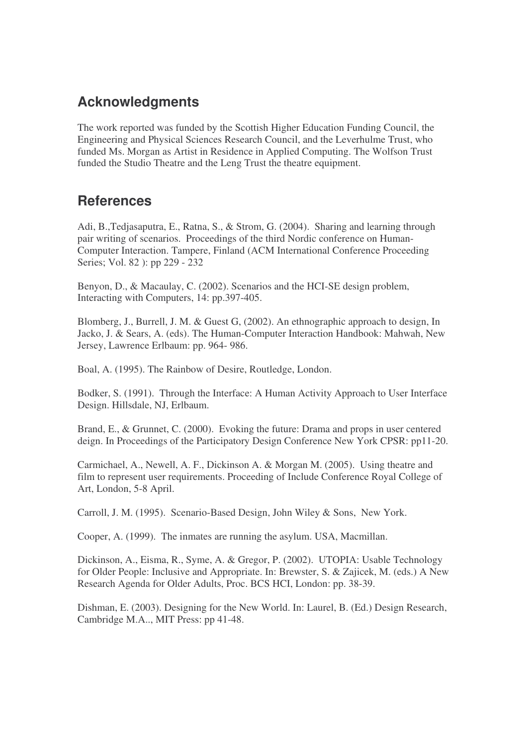## **Acknowledgments**

The work reported was funded by the Scottish Higher Education Funding Council, the Engineering and Physical Sciences Research Council, and the Leverhulme Trust, who funded Ms. Morgan as Artist in Residence in Applied Computing. The Wolfson Trust funded the Studio Theatre and the Leng Trust the theatre equipment.

### **References**

Adi, B.,Tedjasaputra, E., Ratna, S., & Strom, G. (2004). Sharing and learning through pair writing of scenarios. Proceedings of the third Nordic conference on Human-Computer Interaction. Tampere, Finland (ACM International Conference Proceeding Series; Vol. 82 ): pp 229 - 232

Benyon, D., & Macaulay, C. (2002). Scenarios and the HCI-SE design problem, Interacting with Computers, 14: pp.397-405.

Blomberg, J., Burrell, J. M. & Guest G, (2002). An ethnographic approach to design, In Jacko, J. & Sears, A. (eds). The Human-Computer Interaction Handbook: Mahwah, New Jersey, Lawrence Erlbaum: pp. 964- 986.

Boal, A. (1995). The Rainbow of Desire, Routledge, London.

Bodker, S. (1991). Through the Interface: A Human Activity Approach to User Interface Design. Hillsdale, NJ, Erlbaum.

Brand, E., & Grunnet, C. (2000). Evoking the future: Drama and props in user centered deign. In Proceedings of the Participatory Design Conference New York CPSR: pp11-20.

Carmichael, A., Newell, A. F., Dickinson A. & Morgan M. (2005). Using theatre and film to represent user requirements. Proceeding of Include Conference Royal College of Art, London, 5-8 April.

Carroll, J. M. (1995). Scenario-Based Design, John Wiley & Sons, New York.

Cooper, A. (1999). The inmates are running the asylum. USA, Macmillan.

Dickinson, A., Eisma, R., Syme, A. & Gregor, P. (2002). UTOPIA: Usable Technology for Older People: Inclusive and Appropriate. In: Brewster, S. & Zajicek, M. (eds.) A New Research Agenda for Older Adults, Proc. BCS HCI, London: pp. 38-39.

Dishman, E. (2003). Designing for the New World. In: Laurel, B. (Ed.) Design Research, Cambridge M.A.., MIT Press: pp 41-48.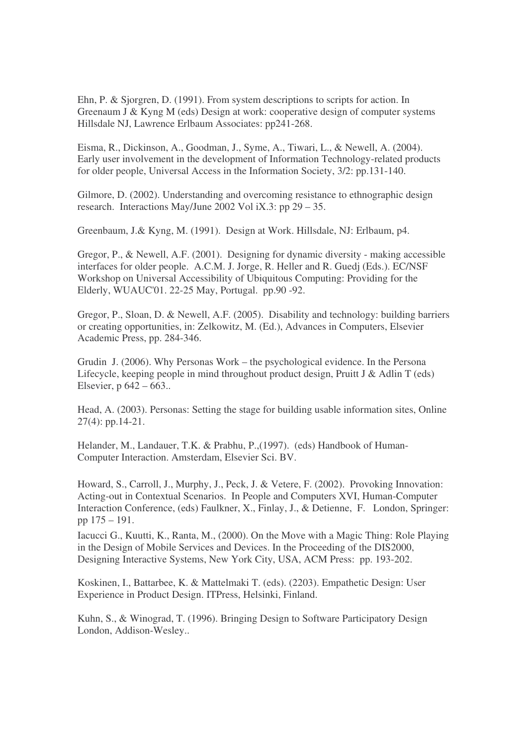Ehn, P. & Sjorgren, D. (1991). From system descriptions to scripts for action. In Greenaum J & Kyng M (eds) Design at work: cooperative design of computer systems Hillsdale NJ, Lawrence Erlbaum Associates: pp241-268.

Eisma, R., Dickinson, A., Goodman, J., Syme, A., Tiwari, L., & Newell, A. (2004). Early user involvement in the development of Information Technology-related products for older people, Universal Access in the Information Society, 3/2: pp.131-140.

Gilmore, D. (2002). Understanding and overcoming resistance to ethnographic design research. Interactions May/June 2002 Vol iX.3: pp 29 – 35.

Greenbaum, J.& Kyng, M. (1991). Design at Work. Hillsdale, NJ: Erlbaum, p4.

Gregor, P., & Newell, A.F. (2001). Designing for dynamic diversity - making accessible interfaces for older people. A.C.M. J. Jorge, R. Heller and R. Guedj (Eds.). EC/NSF Workshop on Universal Accessibility of Ubiquitous Computing: Providing for the Elderly, WUAUC'01. 22-25 May, Portugal. pp.90 -92.

Gregor, P., Sloan, D. & Newell, A.F. (2005). Disability and technology: building barriers or creating opportunities, in: Zelkowitz, M. (Ed.), Advances in Computers, Elsevier Academic Press, pp. 284-346.

Grudin J. (2006). Why Personas Work – the psychological evidence. In the Persona Lifecycle, keeping people in mind throughout product design, Pruitt J & Adlin T (eds) Elsevier, p 642 – 663..

Head, A. (2003). Personas: Setting the stage for building usable information sites, Online 27(4): pp.14-21.

Helander, M., Landauer, T.K. & Prabhu, P.,(1997). (eds) Handbook of Human-Computer Interaction. Amsterdam, Elsevier Sci. BV.

Howard, S., Carroll, J., Murphy, J., Peck, J. & Vetere, F. (2002). Provoking Innovation: Acting-out in Contextual Scenarios. In People and Computers XVI, Human-Computer Interaction Conference, (eds) Faulkner, X., Finlay, J., & Detienne, F. London, Springer: pp 175 – 191.

Iacucci G., Kuutti, K., Ranta, M., (2000). On the Move with a Magic Thing: Role Playing in the Design of Mobile Services and Devices. In the Proceeding of the DIS2000, Designing Interactive Systems, New York City, USA, ACM Press: pp. 193-202.

Koskinen, I., Battarbee, K. & Mattelmaki T. (eds). (2203). Empathetic Design: User Experience in Product Design. ITPress, Helsinki, Finland.

Kuhn, S., & Winograd, T. (1996). Bringing Design to Software Participatory Design London, Addison-Wesley..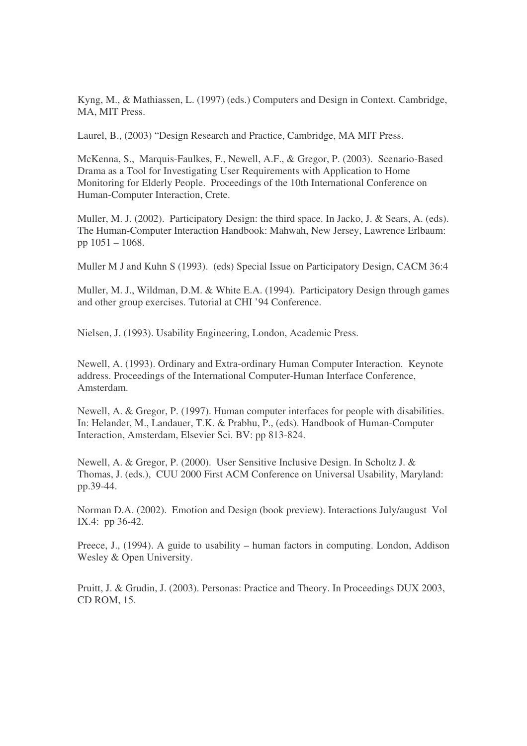Kyng, M., & Mathiassen, L. (1997) (eds.) Computers and Design in Context. Cambridge, MA, MIT Press.

Laurel, B., (2003) "Design Research and Practice, Cambridge, MA MIT Press.

McKenna, S., Marquis-Faulkes, F., Newell, A.F., & Gregor, P. (2003). Scenario-Based Drama as a Tool for Investigating User Requirements with Application to Home Monitoring for Elderly People. Proceedings of the 10th International Conference on Human-Computer Interaction, Crete.

Muller, M. J. (2002). Participatory Design: the third space. In Jacko, J. & Sears, A. (eds). The Human-Computer Interaction Handbook: Mahwah, New Jersey, Lawrence Erlbaum: pp 1051 – 1068.

Muller M J and Kuhn S (1993). (eds) Special Issue on Participatory Design, CACM 36:4

Muller, M. J., Wildman, D.M. & White E.A. (1994). Participatory Design through games and other group exercises. Tutorial at CHI '94 Conference.

Nielsen, J. (1993). Usability Engineering, London, Academic Press.

Newell, A. (1993). Ordinary and Extra-ordinary Human Computer Interaction. Keynote address. Proceedings of the International Computer-Human Interface Conference, Amsterdam.

Newell, A. & Gregor, P. (1997). Human computer interfaces for people with disabilities. In: Helander, M., Landauer, T.K. & Prabhu, P., (eds). Handbook of Human-Computer Interaction, Amsterdam, Elsevier Sci. BV: pp 813-824.

Newell, A. & Gregor, P. (2000). User Sensitive Inclusive Design. In Scholtz J. & Thomas, J. (eds.), CUU 2000 First ACM Conference on Universal Usability, Maryland: pp.39-44.

Norman D.A. (2002). Emotion and Design (book preview). Interactions July/august Vol IX.4: pp 36-42.

Preece, J., (1994). A guide to usability – human factors in computing. London, Addison Wesley & Open University.

Pruitt, J. & Grudin, J. (2003). Personas: Practice and Theory. In Proceedings DUX 2003, CD ROM, 15.